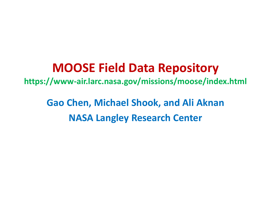#### **MOOSE Field Data Repository**

**https://www-air.larc.nasa.gov/missions/moose/index.html**

**Gao Chen, Michael Shook, and Ali Aknan NASA Langley Research Center**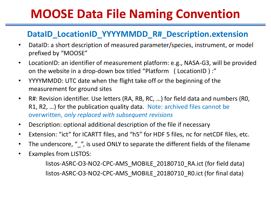## **MOOSE Data File Naming Convention**

#### **DataID\_LocationID\_YYYYMMDD\_R#\_Description.extension**

- DataID: a short description of measured parameter/species, instrument, or model prefixed by "MOOSE"
- LocationID: an identifier of measurement platform: e.g., NASA-G3, will be provided on the website in a drop-down box titled "Platform ( LocationID ) :"
- YYYYMMDD: UTC date when the flight take off or the beginning of the measurement for ground sites
- R#: Revision identifier. Use letters (RA, RB, RC, …) for field data and numbers (R0, R1, R2, …) for the publication quality data. Note: archived files cannot be overwritten, *only replaced with subsequent revisions*
- Description: optional additional description of the file if necessary
- Extension: "ict" for ICARTT files, and "h5" for HDF 5 files, nc for netCDF files, etc.
- The underscore, " ", is used ONLY to separate the different fields of the filename
- Examples from LISTOS:

listos-ASRC-O3-NO2-CPC-AMS\_MOBILE\_20180710\_RA.ict (for field data) listos-ASRC-O3-NO2-CPC-AMS\_MOBILE\_20180710\_R0.ict (for final data)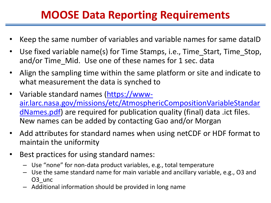#### **MOOSE Data Reporting Requirements**

- Keep the same number of variables and variable names for same dataID
- Use fixed variable name(s) for Time Stamps, i.e., Time\_Start, Time\_Stop, and/or Time Mid. Use one of these names for 1 sec. data
- Align the sampling time within the same platform or site and indicate to what measurement the data is synched to
- Variable standard names (https://www[air.larc.nasa.gov/missions/etc/AtmosphericCompositionVariableStandar](https://www-air.larc.nasa.gov/missions/etc/AtmosphericCompositionVariableStandardNames.pdf) dNames.pdf) are required for publication quality (final) data .ict files. New names can be added by contacting Gao and/or Morgan
- Add attributes for standard names when using netCDF or HDF format to maintain the uniformity
- Best practices for using standard names:
	- Use "none" for non-data product variables, e.g., total temperature
	- Use the same standard name for main variable and ancillary variable, e.g., O3 and O<sub>3</sub> unc
	- Additional information should be provided in long name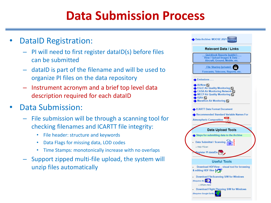## **Data Submission Process**

- DataID Registration:
	- PI will need to first register dataID(s) before files can be submitted
	- dataID is part of the filename and will be used to organize PI files on the data repository
	- Instrument acronym and a brief top level data description required for each dataID
- Data Submission:
	- File submission will be through a scanning tool for checking filenames and ICARTT file integrity:
		- File header: structure and keywords
		- Data Flags for missing data, LOD codes
		- Time Stamps: monotonically increase with no overlaps
	- Support zipped multi-file upload, the system will unzip files automatically

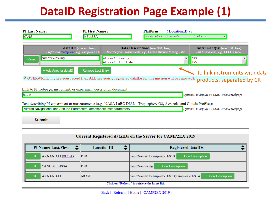### **DataID Registration Page Example (1)**



| Current Registered dataIDs on the Server for CAMP2EX 2019 |                   |                                                                   |  |  |
|-----------------------------------------------------------|-------------------|-------------------------------------------------------------------|--|--|
| <b>PI Name: Last.First</b>                                | <b>LocationID</b> | <b>Registered dataIDs</b>                                         |  |  |
| AKNAN.ALI (PI Link)<br><b>Edit</b>                        | $\parallel$ P3B   | + Show Description<br>  camp2ex-test1;camp2ex-TEST3               |  |  |
| <b>Edit</b><br>YANG.MELISSA                               | $\parallel$ P3B   | + Show Description<br>camp2ex-hsking                              |  |  |
| <b>Edit</b><br><b>AKNAN ALI</b>                           | <b>IMODEL</b>     | + Show Description<br>  camp2ex-test1;camp2ex-TEST3;camp2ex-TEST4 |  |  |
| Click on "Refresh" to retrieve the latest list.           |                   |                                                                   |  |  |

| Back || Refresh || Home || CAMP2EX 2019 ||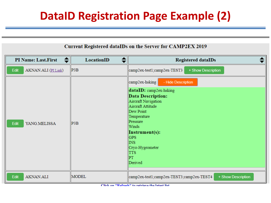#### **DataID Registration Page Example (2)**

#### Current Registered dataIDs on the Server for CAMP2EX 2019

| <b>PI Name: Last.First</b>  | LocationID | <b>Registered dataIDs</b>                                                                                                                                                                                                                                                  |
|-----------------------------|------------|----------------------------------------------------------------------------------------------------------------------------------------------------------------------------------------------------------------------------------------------------------------------------|
| Edit<br>AKNAN.ALI (PI Link) | P3B        | + Show Description<br>camp2ex-test1;camp2ex-TEST3                                                                                                                                                                                                                          |
| Edit<br>YANG.MELISSA        | P3B        | camp2ex-hsking<br>- Hide Description<br>dataID: camp2ex-hsking<br><b>Data Description:</b><br>Aircraft Navigation<br>Aircraft Attitude<br>Dew Point<br>Temperature<br>Pressure<br>Winds<br>Instrument(s):<br>GPS<br>INS<br>Cryo-Hygrometer<br><b>TTS</b><br> PT<br>Derived |
| Edit<br>AKNAN.ALI           | MODEL      | + Show Description<br>camp2ex-test1;camp2ex-TEST3;camp2ex-TEST4                                                                                                                                                                                                            |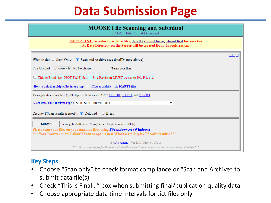# **Data Submission Page**

| <b>MOOSE File Scanning and Submittal</b><br><b>ICARTT File Format Document</b>                                                                                                |  |  |  |
|-------------------------------------------------------------------------------------------------------------------------------------------------------------------------------|--|--|--|
| <b>IMPORTANT:</b> In order to archive files, dataID(s) must be registered first because the<br>PI Data Directory on the Server will be created from the registration.         |  |  |  |
| Help<br>What to do: $\circ$ Scan Only $\circ$ Scan and Archive (see dataIDs note above)                                                                                       |  |  |  |
| File Upload :   Choose File   No file chosen<br>(Select your file)                                                                                                            |  |  |  |
| $\Box$ This is Final (i.e., NOT Field) data -- File Revision MUST be set to R0, R1, etc.                                                                                      |  |  |  |
| How to upload multiple files in one step<br>  How to archive *.zip ICARTT files                                                                                               |  |  |  |
| This application scans three (3) file types -- defined as ICARTT: FFI 1001, FFI 2110, and FFI 2310                                                                            |  |  |  |
| Select Data Time-Interval Type : Start, Stop, and Mid-point<br>v                                                                                                              |  |  |  |
| Display FScan results (report) : $\bullet$ Detailed $\circ$ Brief                                                                                                             |  |  |  |
| <b>Submit</b><br>Pressing this button will Scan [and Archive] the selected file(s).                                                                                           |  |  |  |
| Please scan your files on your machine first using <b>FScanBrowser</b> (Windows)<br>*** Your Browser should allow FScan to open a new Window (to display FScan's results) *** |  |  |  |
| By: Ali Aknan -- Ver 3.7.5 (May 04, 2021)<br>*** FScan is optimized for Chrome and Mozilla-based Browsers. Browser must be JavaScript Enabled ***                             |  |  |  |

#### **Key Steps:**

- Choose "Scan only" to check format compliance or "Scan and Archive" to submit data file(s)
- Check "This is Final…" box when submitting final/publication quality data
- Choose appropriate data time intervals for .ict files only